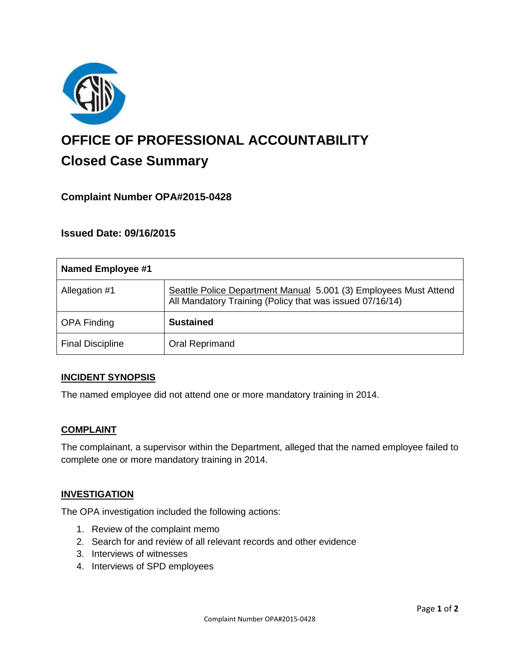

# **OFFICE OF PROFESSIONAL ACCOUNTABILITY Closed Case Summary**

# **Complaint Number OPA#2015-0428**

## **Issued Date: 09/16/2015**

| <b>Named Employee #1</b> |                                                                                                                              |
|--------------------------|------------------------------------------------------------------------------------------------------------------------------|
| Allegation #1            | Seattle Police Department Manual 5.001 (3) Employees Must Attend<br>All Mandatory Training (Policy that was issued 07/16/14) |
| <b>OPA Finding</b>       | <b>Sustained</b>                                                                                                             |
| <b>Final Discipline</b>  | Oral Reprimand                                                                                                               |

#### **INCIDENT SYNOPSIS**

The named employee did not attend one or more mandatory training in 2014.

#### **COMPLAINT**

The complainant, a supervisor within the Department, alleged that the named employee failed to complete one or more mandatory training in 2014.

#### **INVESTIGATION**

The OPA investigation included the following actions:

- 1. Review of the complaint memo
- 2. Search for and review of all relevant records and other evidence
- 3. Interviews of witnesses
- 4. Interviews of SPD employees